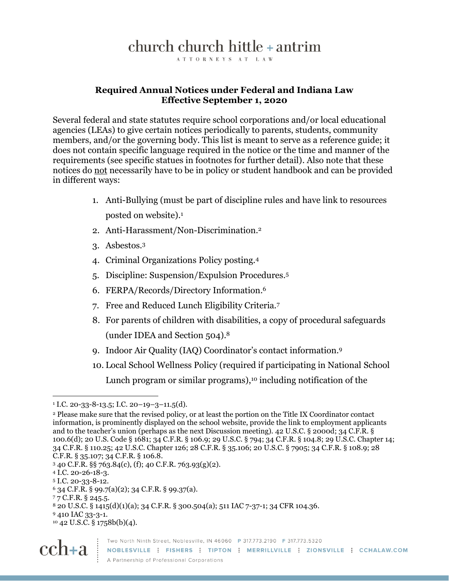## church church hittle + antrim

ATTORNEYS AT LAW

## **Required Annual Notices under Federal and Indiana Law Effective September 1, 2020**

Several federal and state statutes require school corporations and/or local educational agencies (LEAs) to give certain notices periodically to parents, students, community members, and/or the governing body. This list is meant to serve as a reference guide; it does not contain specific language required in the notice or the time and manner of the requirements (see specific statues in footnotes for further detail). Also note that these notices do not necessarily have to be in policy or student handbook and can be provided in different ways:

- 1. Anti-Bullying (must be part of discipline rules and have link to resources posted on website). 1
- 2. Anti-Harassment/Non-Discrimination. 2
- 3. Asbestos. 3
- 4. Criminal Organizations Policy posting.<sup>4</sup>
- 5. Discipline: Suspension/Expulsion Procedures. 5
- 6. FERPA/Records/Directory Information. 6
- 7. Free and Reduced Lunch Eligibility Criteria.<sup>7</sup>
- 8. For parents of children with disabilities, a copy of procedural safeguards (under IDEA and Section 504).<sup>8</sup>
- 9. Indoor Air Quality (IAQ) Coordinator's contact information. 9
- 10. Local School Wellness Policy (required if participating in National School Lunch program or similar programs), <sup>10</sup> including notification of the

<sup>9</sup> 410 IAC 33-3-1.

<sup>10</sup> 42 U.S.C. § 1758b(b)(4).



 $1$  I.C. 20-33-8-13.5; I.C. 20-19-3-11.5(d).

<sup>2</sup> Please make sure that the revised policy, or at least the portion on the Title IX Coordinator contact information, is prominently displayed on the school website, provide the link to employment applicants and to the teacher's union (perhaps as the next Discussion meeting). 42 U.S.C. § 2000d; 34 C.F.R. § 100.6(d); 20 U.S. Code § 1681; 34 C.F.R. § 106.9; 29 U.S.C. § 794; 34 C.F.R. § 104.8; 29 U.S.C. Chapter 14; 34 C.F.R. § 110.25; 42 U.S.C. Chapter 126; 28 C.F.R. § 35.106; 20 U.S.C. § 7905; 34 C.F.R. § 108.9; 28 C.F.R. § 35.107; 34 C.F.R. § 106.8.

<sup>3</sup> 40 C.F.R. §§ 763.84(c), (f); 40 C.F.R. 763.93(g)(2).

<sup>4</sup> I.C. 20-26-18-3.

<sup>5</sup> I.C. 20-33-8-12.

 $6$  34 C.F.R. § 99.7(a)(2); 34 C.F.R. § 99.37(a).

<sup>7</sup> 7 C.F.R. § 245.5.

<sup>8</sup> 20 U.S.C. § 1415(d)(1)(a); 34 C.F.R. § 300.504(a); 511 IAC 7-37-1; 34 CFR 104.36.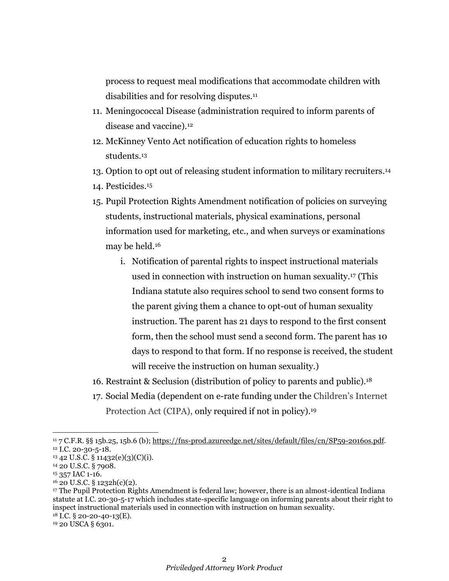process to request meal modifications that accommodate children with disabilities and for resolving disputes.<sup>11</sup>

- 11. Meningococcal Disease (administration required to inform parents of disease and vaccine).<sup>12</sup>
- 12. McKinney Vento Act notification of education rights to homeless students.<sup>13</sup>
- 13. Option to opt out of releasing student information to military recruiters. 14
- 14. Pesticides. 15
- 15. Pupil Protection Rights Amendment notification of policies on surveying students, instructional materials, physical examinations, personal information used for marketing, etc., and when surveys or examinations may be held.<sup>16</sup>
	- i. Notification of parental rights to inspect instructional materials used in connection with instruction on human sexuality.<sup>17</sup> (This Indiana statute also requires school to send two consent forms to the parent giving them a chance to opt-out of human sexuality instruction. The parent has 21 days to respond to the first consent form, then the school must send a second form. The parent has 10 days to respond to that form. If no response is received, the student will receive the instruction on human sexuality.)
- 16. Restraint & Seclusion (distribution of policy to parents and public).<sup>18</sup>
- 17. Social Media (dependent on e-rate funding under the Children's Internet Protection Act (CIPA), only required if not in policy). 19

<sup>11</sup> 7 C.F.R. §§ 15b.25, 15b.6 (b); [https://fns-prod.azureedge.net/sites/default/files/cn/SP59-2016os.pdf.](https://fns-prod.azureedge.net/sites/default/files/cn/SP59-2016os.pdf) <sup>12</sup> I.C. 20-30-5-18.

<sup>13</sup> 42 U.S.C. § 11432(e)(3)(C)(i).

<sup>14</sup> 20 U.S.C. § 7908.

<sup>&</sup>lt;sup>15</sup> 357 IAC 1-16.

<sup>16</sup> 20 U.S.C. § 1232h(c)(2).

<sup>17</sup> The Pupil Protection Rights Amendment is federal law; however, there is an almost-identical Indiana statute at I.C. 20-30-5-17 which includes state-specific language on informing parents about their right to inspect instructional materials used in connection with instruction on human sexuality. <sup>18</sup> I.C. § 20-20-40-13(E).

<sup>&</sup>lt;sup>19</sup> 20 USCA § 6301.